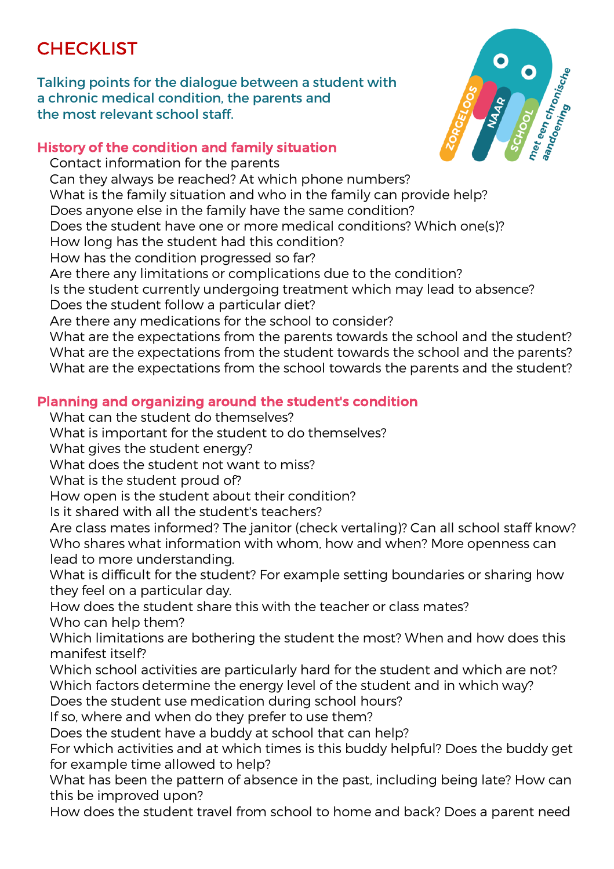## **CHECKLIST**

Talking points for the dialogue between a student with a chronic medical condition, the parents and the most relevant school staff.



## History of the condition and family situation

 Contact information for the parents Can they always be reached? At which phone numbers? What is the family situation and who in the family can provide help? Does anyone else in the family have the same condition? Does the student have one or more medical conditions? Which one(s)? How long has the student had this condition? How has the condition progressed so far? Are there any limitations or complications due to the condition? Is the student currently undergoing treatment which may lead to absence? Does the student follow a particular diet? Are there any medications for the school to consider? What are the expectations from the parents towards the school and the student? What are the expectations from the student towards the school and the parents? What are the expectations from the school towards the parents and the student?

## Planning and organizing around the student's condition

What can the student do themselves?

What is important for the student to do themselves?

What gives the student energy?

What does the student not want to miss?

What is the student proud of?

How open is the student about their condition?

Is it shared with all the student's teachers?

 Are class mates informed? The janitor (check vertaling)? Can all school staff know? Who shares what information with whom, how and when? More openness can lead to more understanding.

 What is difficult for the student? For example setting boundaries or sharing how they feel on a particular day.

 How does the student share this with the teacher or class mates? Who can help them?

 Which limitations are bothering the student the most? When and how does this manifest itself?

 Which school activities are particularly hard for the student and which are not? Which factors determine the energy level of the student and in which way?

Does the student use medication during school hours?

If so, where and when do they prefer to use them?

Does the student have a buddy at school that can help?

 For which activities and at which times is this buddy helpful? Does the buddy get for example time allowed to help?

 What has been the pattern of absence in the past, including being late? How can this be improved upon?

How does the student travel from school to home and back? Does a parent need